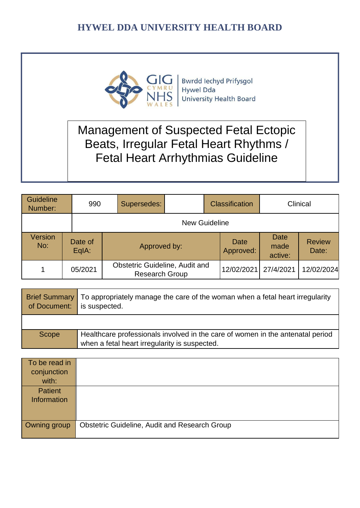

**Bwrdd lechyd Prifysgol Hywel Dda** University Health Board

# Management of Suspected Fetal Ectopic Beats, Irregular Fetal Heart Rhythms / Fetal Heart Arrhythmias Guideline

| <b>Guideline</b><br>Number: | 990              | Supersedes:                                                    |                      | <b>Classification</b>    |                         | Clinical               |
|-----------------------------|------------------|----------------------------------------------------------------|----------------------|--------------------------|-------------------------|------------------------|
|                             |                  |                                                                | <b>New Guideline</b> |                          |                         |                        |
| Version<br>No:              | Date of<br>EqIA: | Approved by:                                                   |                      | <b>Date</b><br>Approved: | Date<br>made<br>active: | <b>Review</b><br>Date: |
|                             | 05/2021          | <b>Obstetric Guideline, Audit and</b><br><b>Research Group</b> |                      | 12/02/2021               | 27/4/2021               | 12/02/2024             |

| of Document: | Brief Summary   To appropriately manage the care of the woman when a fetal heart irregularity<br>is suspected.                  |  |
|--------------|---------------------------------------------------------------------------------------------------------------------------------|--|
|              |                                                                                                                                 |  |
| <b>Scope</b> | Healthcare professionals involved in the care of women in the antenatal period<br>when a fetal heart irregularity is suspected. |  |

| To be read in<br>conjunction<br>with: |                                                      |
|---------------------------------------|------------------------------------------------------|
| <b>Patient</b><br><b>Information</b>  |                                                      |
|                                       |                                                      |
| Owning group                          | <b>Obstetric Guideline, Audit and Research Group</b> |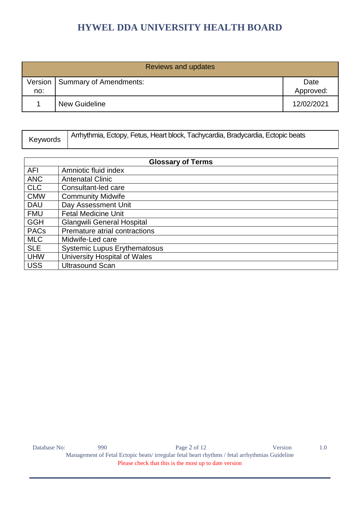| Reviews and updates |                                  |            |  |  |
|---------------------|----------------------------------|------------|--|--|
|                     | Version   Summary of Amendments: | Date       |  |  |
| no:                 |                                  | Approved:  |  |  |
|                     | <b>New Guideline</b>             | 12/02/2021 |  |  |

| Keywords | Arrhythmia, Ectopy, Fetus, Heart block, Tachycardia, Bradycardia, Ectopic beats |
|----------|---------------------------------------------------------------------------------|
|----------|---------------------------------------------------------------------------------|

| <b>Glossary of Terms</b> |                                     |  |  |  |
|--------------------------|-------------------------------------|--|--|--|
| <b>AFI</b>               | Amniotic fluid index                |  |  |  |
| <b>ANC</b>               | <b>Antenatal Clinic</b>             |  |  |  |
| <b>CLC</b>               | Consultant-led care                 |  |  |  |
| <b>CMW</b>               | <b>Community Midwife</b>            |  |  |  |
| <b>DAU</b>               | Day Assessment Unit                 |  |  |  |
| <b>FMU</b>               | <b>Fetal Medicine Unit</b>          |  |  |  |
| <b>GGH</b>               | <b>Glangwili General Hospital</b>   |  |  |  |
| <b>PACs</b>              | Premature atrial contractions       |  |  |  |
| <b>MLC</b>               | Midwife-Led care                    |  |  |  |
| <b>SLE</b>               | <b>Systemic Lupus Erythematosus</b> |  |  |  |
| <b>UHW</b>               | University Hospital of Wales        |  |  |  |
| <b>USS</b>               | <b>Ultrasound Scan</b>              |  |  |  |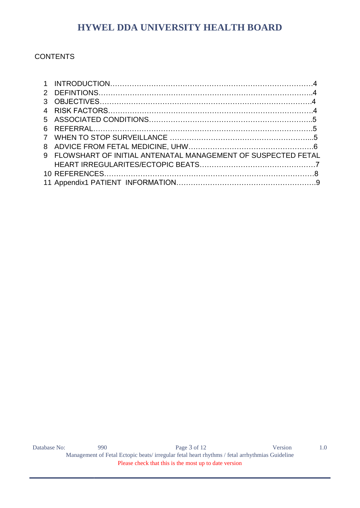### **CONTENTS**

| 9 FLOWSHART OF INITIAL ANTENATAL MANAGEMENT OF SUSPECTED FETAL |  |
|----------------------------------------------------------------|--|
|                                                                |  |
|                                                                |  |
|                                                                |  |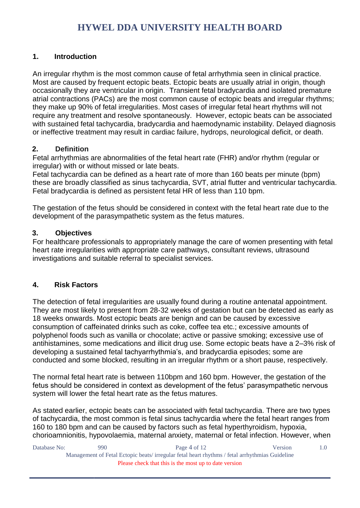### **1. Introduction**

An irregular rhythm is the most common cause of fetal arrhythmia seen in clinical practice. Most are caused by frequent ectopic beats. Ectopic beats are usually atrial in origin, though occasionally they are ventricular in origin. Transient fetal bradycardia and isolated premature atrial contractions (PACs) are the most common cause of ectopic beats and irregular rhythms; they make up 90% of fetal irregularities. Most cases of irregular fetal heart rhythms will not require any treatment and resolve spontaneously. However, ectopic beats can be associated with sustained fetal tachycardia, bradycardia and haemodynamic instability. Delayed diagnosis or ineffective treatment may result in cardiac failure, hydrops, neurological deficit, or death.

### **2. Definition**

Fetal arrhythmias are abnormalities of the fetal heart rate (FHR) and/or rhythm (regular or irregular) with or without missed or late beats.

Fetal tachycardia can be defined as a heart rate of more than 160 beats per minute (bpm) these are broadly classified as sinus tachycardia, SVT, atrial flutter and ventricular tachycardia. Fetal bradycardia is defined as persistent fetal HR of less than 110 bpm.

The gestation of the fetus should be considered in context with the fetal heart rate due to the development of the parasympathetic system as the fetus matures.

### **3. Objectives**

For healthcare professionals to appropriately manage the care of women presenting with fetal heart rate irregularities with appropriate care pathways, consultant reviews, ultrasound investigations and suitable referral to specialist services.

### **4. Risk Factors**

The detection of fetal irregularities are usually found during a routine antenatal appointment. They are most likely to present from 28-32 weeks of gestation but can be detected as early as 18 weeks onwards. Most ectopic beats are benign and can be caused by excessive consumption of caffeinated drinks such as coke, coffee tea etc.; excessive amounts of polyphenol foods such as vanilla or chocolate; active or passive smoking; excessive use of antihistamines, some medications and illicit drug use. Some ectopic beats have a 2–3% risk of developing a sustained fetal tachyarrhythmia's, and bradycardia episodes; some are conducted and some blocked, resulting in an irregular rhythm or a short pause, respectively.

The normal fetal heart rate is between 110bpm and 160 bpm. However, the gestation of the fetus should be considered in context as development of the fetus' parasympathetic nervous system will lower the fetal heart rate as the fetus matures.

As stated earlier, ectopic beats can be associated with fetal tachycardia. There are two types of tachycardia, the most common is fetal sinus tachycardia where the fetal heart ranges from 160 to 180 bpm and can be caused by factors such as fetal hyperthyroidism, hypoxia, chorioamnionitis, hypovolaemia, maternal anxiety, maternal or fetal infection. However, when

| Database No:                                                                                  | 990 | Page 4 of $12$ | Version | $\Omega$ |
|-----------------------------------------------------------------------------------------------|-----|----------------|---------|----------|
| Management of Fetal Ectopic beats/irregular fetal heart rhythms / fetal arrhythmias Guideline |     |                |         |          |
| Please check that this is the most up to date version                                         |     |                |         |          |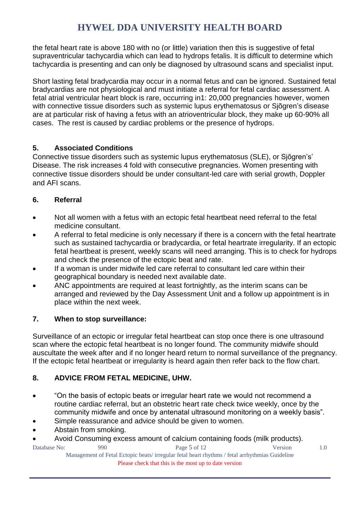the fetal heart rate is above 180 with no (or little) variation then this is suggestive of fetal supraventricular tachycardia which can lead to hydrops fetalis. It is difficult to determine which tachycardia is presenting and can only be diagnosed by ultrasound scans and specialist input.

Short lasting fetal bradycardia may occur in a normal fetus and can be ignored. Sustained fetal bradycardias are not physiological and must initiate a referral for fetal cardiac assessment. A fetal atrial ventricular heart block is rare, occurring in1: 20,000 pregnancies however, women with connective tissue disorders such as systemic lupus erythematosus or Siõgren's disease are at particular risk of having a fetus with an atrioventricular block, they make up 60-90% all cases. The rest is caused by cardiac problems or the presence of hydrops.

### **5. Associated Conditions**

Connective tissue disorders such as systemic lupus erythematosus (SLE), or Sjõgren's' Disease. The risk increases 4 fold with consecutive pregnancies. Women presenting with connective tissue disorders should be under consultant-led care with serial growth, Doppler and AFI scans.

### **6. Referral**

- Not all women with a fetus with an ectopic fetal heartbeat need referral to the fetal medicine consultant.
- A referral to fetal medicine is only necessary if there is a concern with the fetal heartrate such as sustained tachycardia or bradycardia, or fetal heartrate irregularity. If an ectopic fetal heartbeat is present, weekly scans will need arranging. This is to check for hydrops and check the presence of the ectopic beat and rate.
- If a woman is under midwife led care referral to consultant led care within their geographical boundary is needed next available date.
- ANC appointments are required at least fortnightly, as the interim scans can be arranged and reviewed by the Day Assessment Unit and a follow up appointment is in place within the next week.

### **7. When to stop surveillance:**

Surveillance of an ectopic or irregular fetal heartbeat can stop once there is one ultrasound scan where the ectopic fetal heartbeat is no longer found. The community midwife should auscultate the week after and if no longer heard return to normal surveillance of the pregnancy. If the ectopic fetal heartbeat or irregularity is heard again then refer back to the flow chart.

### **8. ADVICE FROM FETAL MEDICINE, UHW.**

- "On the basis of ectopic beats or irregular heart rate we would not recommend a routine cardiac referral, but an obstetric heart rate check twice weekly, once by the community midwife and once by antenatal ultrasound monitoring on a weekly basis".
- Simple reassurance and advice should be given to women.
- Abstain from smoking.
- Avoid Consuming excess amount of calcium containing foods (milk products).

Database No: 990 90 Page 5 of 12 Version 1.0 Management of Fetal Ectopic beats/ irregular fetal heart rhythms / fetal arrhythmias Guideline Please check that this is the most up to date version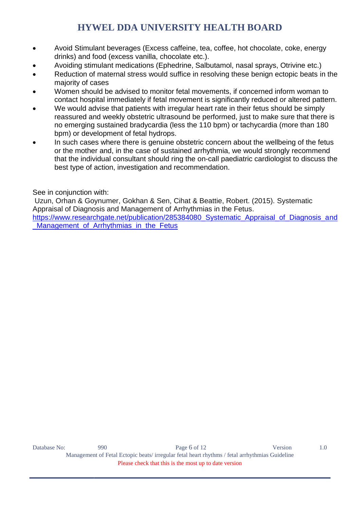- Avoid Stimulant beverages (Excess caffeine, tea, coffee, hot chocolate, coke, energy drinks) and food (excess vanilla, chocolate etc.).
- Avoiding stimulant medications (Ephedrine, Salbutamol, nasal sprays, Otrivine etc.)
- Reduction of maternal stress would suffice in resolving these benign ectopic beats in the majority of cases
- Women should be advised to monitor fetal movements, if concerned inform woman to contact hospital immediately if fetal movement is significantly reduced or altered pattern.
- We would advise that patients with irregular heart rate in their fetus should be simply reassured and weekly obstetric ultrasound be performed, just to make sure that there is no emerging sustained bradycardia (less the 110 bpm) or tachycardia (more than 180 bpm) or development of fetal hydrops.
- In such cases where there is genuine obstetric concern about the wellbeing of the fetus or the mother and, in the case of sustained arrhythmia, we would strongly recommend that the individual consultant should ring the on-call paediatric cardiologist to discuss the best type of action, investigation and recommendation.

See in conjunction with:

Uzun, Orhan & Goynumer, Gokhan & Sen, Cihat & Beattie, Robert. (2015). Systematic Appraisal of Diagnosis and Management of Arrhythmias in the Fetus.

https://www.researchgate.net/publication/285384080 Systematic Appraisal of Diagnosis and Management of Arrhythmias in the Fetus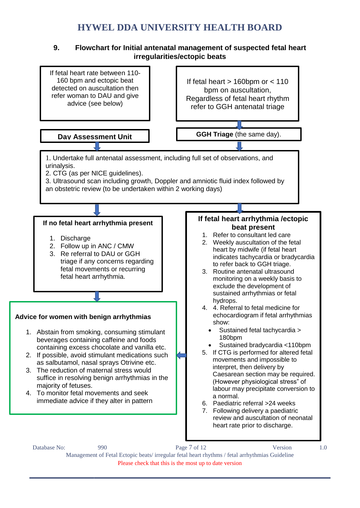#### **9. Flowchart for Initial antenatal management of suspected fetal heart irregularities/ectopic beats**



Please check that this is the most up to date version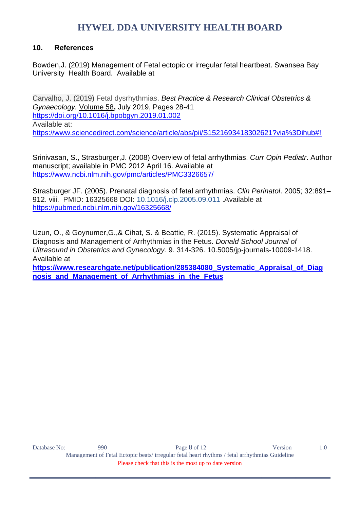#### **10. References**

Bowden,J. (2019) Management of Fetal ectopic or irregular fetal heartbeat. Swansea Bay University Health Board. Available at

Carvalho, J. (2019) Fetal dysrhythmias. *[Best Practice & Research Clinical Obstetrics &](https://www.sciencedirect.com/science/journal/15216934)  [Gynaecology.](https://www.sciencedirect.com/science/journal/15216934)* [Volume 58](file:///C:/Users/users/Desktop/Volume%2058)**,** July 2019, Pages 28-41 <https://doi.org/10.1016/j.bpobgyn.2019.01.002> Available at: <https://www.sciencedirect.com/science/article/abs/pii/S1521693418302621?via%3Dihub#!>

Srinivasan, S., Strasburger,J. (2008) Overview of fetal arrhythmias. *Curr Opin Pediatr*. Author manuscript; available in PMC 2012 April 16. Available at <https://www.ncbi.nlm.nih.gov/pmc/articles/PMC3326657/>

Strasburger JF. (2005). Prenatal diagnosis of fetal arrhythmias. *Clin Perinatol*. 2005; 32:891– 912. viii. PMID: 16325668 DOI: [10.1016/j.clp.2005.09.011](https://doi.org/10.1016/j.clp.2005.09.011) .Available at <https://pubmed.ncbi.nlm.nih.gov/16325668/>

Uzun, O., & Goynumer,G.,& Cihat, S. & Beattie, R. (2015). Systematic Appraisal of Diagnosis and Management of Arrhythmias in the Fetus. *Donald School Journal of Ultrasound in Obstetrics and Gynecology.* 9. 314-326. 10.5005/jp-journals-10009-1418. Available at

**[https://www.researchgate.net/publication/285384080\\_Systematic\\_Appraisal\\_of\\_Diag](https://www.researchgate.net/publication/285384080_Systematic_Appraisal_of_Diagnosis_and_Management_of_Arrhythmias_in_the_Fetus) [nosis\\_and\\_Management\\_of\\_Arrhythmias\\_in\\_the\\_Fetus](https://www.researchgate.net/publication/285384080_Systematic_Appraisal_of_Diagnosis_and_Management_of_Arrhythmias_in_the_Fetus)**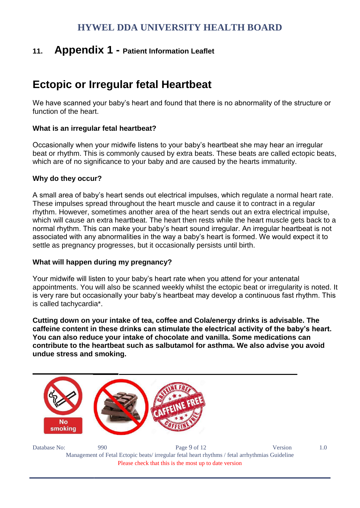# **11. Appendix 1 - Patient Information Leaflet**

# **Ectopic or Irregular fetal Heartbeat**

We have scanned your baby's heart and found that there is no abnormality of the structure or function of the heart.

### **What is an irregular fetal heartbeat?**

Occasionally when your midwife listens to your baby's heartbeat she may hear an irregular beat or rhythm. This is commonly caused by extra beats. These beats are called ectopic beats, which are of no significance to your baby and are caused by the hearts immaturity.

#### **Why do they occur?**

A small area of baby's heart sends out electrical impulses, which regulate a normal heart rate. These impulses spread throughout the heart muscle and cause it to contract in a regular rhythm. However, sometimes another area of the heart sends out an extra electrical impulse, which will cause an extra heartbeat. The heart then rests while the heart muscle gets back to a normal rhythm. This can make your baby's heart sound irregular. An irregular heartbeat is not associated with any abnormalities in the way a baby's heart is formed. We would expect it to settle as pregnancy progresses, but it occasionally persists until birth.

#### **What will happen during my pregnancy?**

Your midwife will listen to your baby's heart rate when you attend for your antenatal appointments. You will also be scanned weekly whilst the ectopic beat or irregularity is noted. It is very rare but occasionally your baby's heartbeat may develop a continuous fast rhythm. This is called tachycardia\*.

**Cutting down on your intake of tea, coffee and Cola/energy drinks is advisable. The caffeine content in these drinks can stimulate the electrical activity of the baby's heart. You can also reduce your intake of chocolate and vanilla. Some medications can contribute to the heartbeat such as salbutamol for asthma. We also advise you avoid undue stress and smoking.** 



Database No: 990 90 Page 9 of 12 Version 1.0 Management of Fetal Ectopic beats/ irregular fetal heart rhythms / fetal arrhythmias Guideline Please check that this is the most up to date version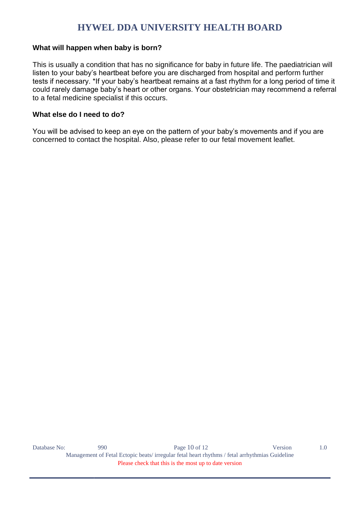#### **What will happen when baby is born?**

This is usually a condition that has no significance for baby in future life. The paediatrician will listen to your baby's heartbeat before you are discharged from hospital and perform further tests if necessary. \*If your baby's heartbeat remains at a fast rhythm for a long period of time it could rarely damage baby's heart or other organs. Your obstetrician may recommend a referral to a fetal medicine specialist if this occurs.

#### **What else do I need to do?**

You will be advised to keep an eye on the pattern of your baby's movements and if you are concerned to contact the hospital. Also, please refer to our fetal movement leaflet.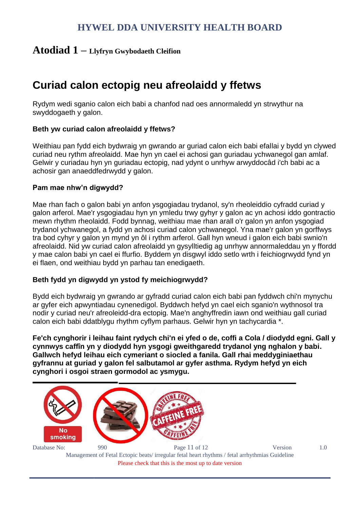### **Atodiad 1 – Llyfryn Gwybodaeth Cleifion**

# **Curiad calon ectopig neu afreolaidd y ffetws**

Rydym wedi sganio calon eich babi a chanfod nad oes annormaledd yn strwythur na swyddogaeth y galon.

#### **Beth yw curiad calon afreolaidd y ffetws?**

Weithiau pan fydd eich bydwraig yn gwrando ar guriad calon eich babi efallai y bydd yn clywed curiad neu rythm afreolaidd. Mae hyn yn cael ei achosi gan guriadau ychwanegol gan amlaf. Gelwir y curiadau hyn yn guriadau ectopig, nad ydynt o unrhyw arwyddocâd i'ch babi ac a achosir gan anaeddfedrwydd y galon.

#### **Pam mae nhw'n digwydd?**

Mae rhan fach o galon babi yn anfon ysgogiadau trydanol, sy'n rheoleiddio cyfradd curiad y galon arferol. Mae'r ysgogiadau hyn yn ymledu trwy gyhyr y galon ac yn achosi iddo gontractio mewn rhythm rheolaidd. Fodd bynnag, weithiau mae rhan arall o'r galon yn anfon ysgogiad trydanol ychwanegol, a fydd yn achosi curiad calon ychwanegol. Yna mae'r galon yn gorffwys tra bod cyhyr y galon yn mynd yn ôl i rythm arferol. Gall hyn wneud i galon eich babi swnio'n afreolaidd. Nid yw curiad calon afreolaidd yn gysylltiedig ag unrhyw annormaleddau yn y ffordd y mae calon babi yn cael ei ffurfio. Byddem yn disgwyl iddo setlo wrth i feichiogrwydd fynd yn ei flaen, ond weithiau bydd yn parhau tan enedigaeth.

#### **Beth fydd yn digwydd yn ystod fy meichiogrwydd?**

Bydd eich bydwraig yn gwrando ar gyfradd curiad calon eich babi pan fyddwch chi'n mynychu ar gyfer eich apwyntiadau cynenedigol. Byddwch hefyd yn cael eich sganio'n wythnosol tra nodir y curiad neu'r afreoleidd-dra ectopig. Mae'n anghyffredin iawn ond weithiau gall curiad calon eich babi ddatblygu rhythm cyflym parhaus. Gelwir hyn yn tachycardia \*.

**Fe'ch cynghorir i leihau faint rydych chi'n ei yfed o de, coffi a Cola / diodydd egni. Gall y cynnwys caffîn yn y diodydd hyn ysgogi gweithgaredd trydanol yng nghalon y babi. Gallwch hefyd leihau eich cymeriant o siocled a fanila. Gall rhai meddyginiaethau gyfrannu at guriad y galon fel salbutamol ar gyfer asthma. Rydym hefyd yn eich cynghori i osgoi straen gormodol ac ysmygu.**